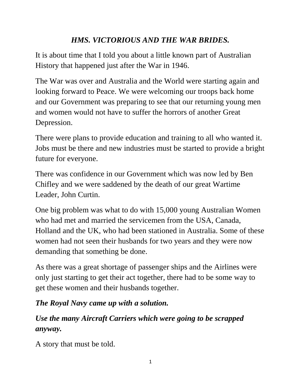## *HMS. VICTORIOUS AND THE WAR BRIDES.*

It is about time that I told you about a little known part of Australian History that happened just after the War in 1946.

The War was over and Australia and the World were starting again and looking forward to Peace. We were welcoming our troops back home and our Government was preparing to see that our returning young men and women would not have to suffer the horrors of another Great Depression.

There were plans to provide education and training to all who wanted it. Jobs must be there and new industries must be started to provide a bright future for everyone.

There was confidence in our Government which was now led by Ben Chifley and we were saddened by the death of our great Wartime Leader, John Curtin.

One big problem was what to do with 15,000 young Australian Women who had met and married the servicemen from the USA, Canada, Holland and the UK, who had been stationed in Australia. Some of these women had not seen their husbands for two years and they were now demanding that something be done.

As there was a great shortage of passenger ships and the Airlines were only just starting to get their act together, there had to be some way to get these women and their husbands together.

## *The Royal Navy came up with a solution.*

# *Use the many Aircraft Carriers which were going to be scrapped anyway.*

A story that must be told.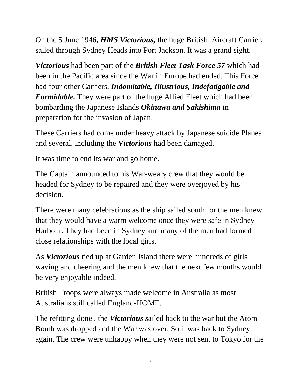On the 5 June 1946, *HMS Victorious,* the huge British Aircraft Carrier, sailed through Sydney Heads into Port Jackson. It was a grand sight.

*Victorious* had been part of the *British Fleet Task Force 57* which had been in the Pacific area since the War in Europe had ended. This Force had four other Carriers, *Indomitable, Illustrious, Indefatigable and Formidable.* They were part of the huge Allied Fleet which had been bombarding the Japanese Islands *Okinawa and Sakishima* in preparation for the invasion of Japan.

These Carriers had come under heavy attack by Japanese suicide Planes and several, including the *Victorious* had been damaged.

It was time to end its war and go home.

The Captain announced to his War-weary crew that they would be headed for Sydney to be repaired and they were overjoyed by his decision.

There were many celebrations as the ship sailed south for the men knew that they would have a warm welcome once they were safe in Sydney Harbour. They had been in Sydney and many of the men had formed close relationships with the local girls.

As *Victorious* tied up at Garden Island there were hundreds of girls waving and cheering and the men knew that the next few months would be very enjoyable indeed.

British Troops were always made welcome in Australia as most Australians still called England-HOME.

The refitting done , the *Victorious s*ailed back to the war but the Atom Bomb was dropped and the War was over. So it was back to Sydney again. The crew were unhappy when they were not sent to Tokyo for the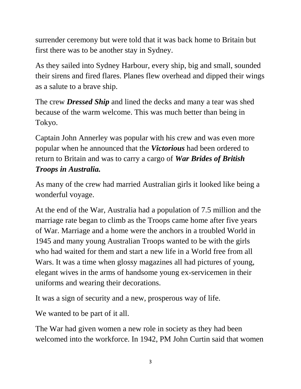surrender ceremony but were told that it was back home to Britain but first there was to be another stay in Sydney.

As they sailed into Sydney Harbour, every ship, big and small, sounded their sirens and fired flares. Planes flew overhead and dipped their wings as a salute to a brave ship.

The crew *Dressed Ship* and lined the decks and many a tear was shed because of the warm welcome. This was much better than being in Tokyo.

Captain John Annerley was popular with his crew and was even more popular when he announced that the *Victorious* had been ordered to return to Britain and was to carry a cargo of *War Brides of British Troops in Australia.* 

As many of the crew had married Australian girls it looked like being a wonderful voyage.

At the end of the War, Australia had a population of 7.5 million and the marriage rate began to climb as the Troops came home after five years of War. Marriage and a home were the anchors in a troubled World in 1945 and many young Australian Troops wanted to be with the girls who had waited for them and start a new life in a World free from all Wars. It was a time when glossy magazines all had pictures of young, elegant wives in the arms of handsome young ex-servicemen in their uniforms and wearing their decorations.

It was a sign of security and a new, prosperous way of life.

We wanted to be part of it all.

The War had given women a new role in society as they had been welcomed into the workforce. In 1942, PM John Curtin said that women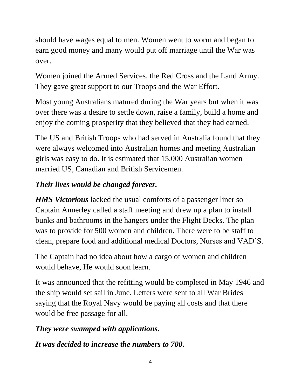should have wages equal to men. Women went to worm and began to earn good money and many would put off marriage until the War was over.

Women joined the Armed Services, the Red Cross and the Land Army. They gave great support to our Troops and the War Effort.

Most young Australians matured during the War years but when it was over there was a desire to settle down, raise a family, build a home and enjoy the coming prosperity that they believed that they had earned.

The US and British Troops who had served in Australia found that they were always welcomed into Australian homes and meeting Australian girls was easy to do. It is estimated that 15,000 Australian women married US, Canadian and British Servicemen.

## *Their lives would be changed forever.*

*HMS Victorious* lacked the usual comforts of a passenger liner so Captain Annerley called a staff meeting and drew up a plan to install bunks and bathrooms in the hangers under the Flight Decks. The plan was to provide for 500 women and children. There were to be staff to clean, prepare food and additional medical Doctors, Nurses and VAD'S.

The Captain had no idea about how a cargo of women and children would behave, He would soon learn.

It was announced that the refitting would be completed in May 1946 and the ship would set sail in June. Letters were sent to all War Brides saying that the Royal Navy would be paying all costs and that there would be free passage for all.

## *They were swamped with applications.*

*It was decided to increase the numbers to 700.*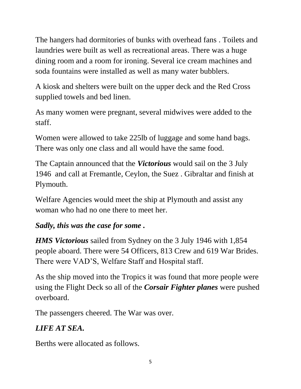The hangers had dormitories of bunks with overhead fans . Toilets and laundries were built as well as recreational areas. There was a huge dining room and a room for ironing. Several ice cream machines and soda fountains were installed as well as many water bubblers.

A kiosk and shelters were built on the upper deck and the Red Cross supplied towels and bed linen.

As many women were pregnant, several midwives were added to the staff.

Women were allowed to take 225lb of luggage and some hand bags. There was only one class and all would have the same food.

The Captain announced that the *Victorious* would sail on the 3 July 1946 and call at Fremantle, Ceylon, the Suez . Gibraltar and finish at Plymouth.

Welfare Agencies would meet the ship at Plymouth and assist any woman who had no one there to meet her.

## *Sadly, this was the case for some .*

*HMS Victorious* sailed from Sydney on the 3 July 1946 with 1,854 people aboard. There were 54 Officers, 813 Crew and 619 War Brides. There were VAD'S, Welfare Staff and Hospital staff.

As the ship moved into the Tropics it was found that more people were using the Flight Deck so all of the *Corsair Fighter planes* were pushed overboard.

The passengers cheered. The War was over.

## *LIFE AT SEA.*

Berths were allocated as follows.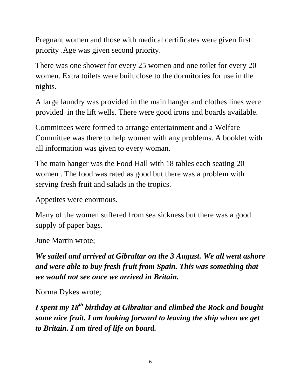Pregnant women and those with medical certificates were given first priority .Age was given second priority.

There was one shower for every 25 women and one toilet for every 20 women. Extra toilets were built close to the dormitories for use in the nights.

A large laundry was provided in the main hanger and clothes lines were provided in the lift wells. There were good irons and boards available.

Committees were formed to arrange entertainment and a Welfare Committee was there to help women with any problems. A booklet with all information was given to every woman.

The main hanger was the Food Hall with 18 tables each seating 20 women . The food was rated as good but there was a problem with serving fresh fruit and salads in the tropics.

Appetites were enormous.

Many of the women suffered from sea sickness but there was a good supply of paper bags.

June Martin wrote;

*We sailed and arrived at Gibraltar on the 3 August. We all went ashore and were able to buy fresh fruit from Spain. This was something that we would not see once we arrived in Britain.* 

Norma Dykes wrote;

*I spent my 18th birthday at Gibraltar and climbed the Rock and bought some nice fruit. I am looking forward to leaving the ship when we get to Britain. I am tired of life on board.*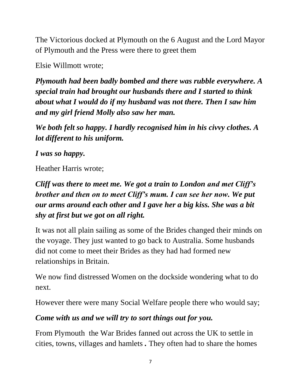The Victorious docked at Plymouth on the 6 August and the Lord Mayor of Plymouth and the Press were there to greet them

Elsie Willmott wrote;

*Plymouth had been badly bombed and there was rubble everywhere. A special train had brought our husbands there and I started to think about what I would do if my husband was not there. Then I saw him and my girl friend Molly also saw her man.* 

*We both felt so happy. I hardly recognised him in his civvy clothes. A lot different to his uniform.* 

*I was so happy.* 

Heather Harris wrote;

*Cliff was there to meet me. We got a train to London and met Cliff's brother and then on to meet Cliff's mum. I can see her now. We put our arms around each other and I gave her a big kiss. She was a bit shy at first but we got on all right.*

It was not all plain sailing as some of the Brides changed their minds on the voyage. They just wanted to go back to Australia. Some husbands did not come to meet their Brides as they had had formed new relationships in Britain.

We now find distressed Women on the dockside wondering what to do next.

However there were many Social Welfare people there who would say;

## *Come with us and we will try to sort things out for you.*

From Plymouth the War Brides fanned out across the UK to settle in cities, towns, villages and hamlets *.* They often had to share the homes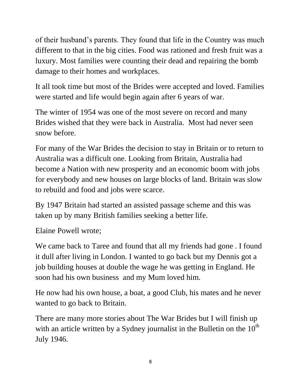of their husband's parents. They found that life in the Country was much different to that in the big cities. Food was rationed and fresh fruit was a luxury. Most families were counting their dead and repairing the bomb damage to their homes and workplaces.

It all took time but most of the Brides were accepted and loved. Families were started and life would begin again after 6 years of war.

The winter of 1954 was one of the most severe on record and many Brides wished that they were back in Australia. Most had never seen snow before.

For many of the War Brides the decision to stay in Britain or to return to Australia was a difficult one. Looking from Britain, Australia had become a Nation with new prosperity and an economic boom with jobs for everybody and new houses on large blocks of land. Britain was slow to rebuild and food and jobs were scarce.

By 1947 Britain had started an assisted passage scheme and this was taken up by many British families seeking a better life.

Elaine Powell wrote;

We came back to Taree and found that all my friends had gone . I found it dull after living in London. I wanted to go back but my Dennis got a job building houses at double the wage he was getting in England. He soon had his own business and my Mum loved him.

He now had his own house, a boat, a good Club, his mates and he never wanted to go back to Britain.

There are many more stories about The War Brides but I will finish up with an article written by a Sydney journalist in the Bulletin on the  $10<sup>th</sup>$ July 1946.